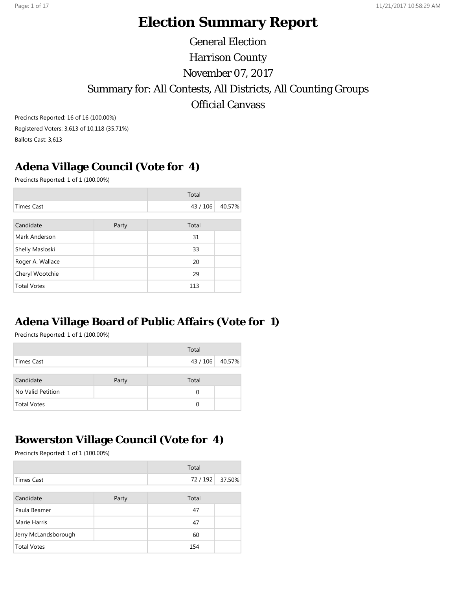# **Election Summary Report**

General Election Harrison County November 07, 2017 Summary for: All Contests, All Districts, All Counting Groups Official Canvass

Precincts Reported: 16 of 16 (100.00%) Registered Voters: 3,613 of 10,118 (35.71%) Ballots Cast: 3,613

## **Adena Village Council (Vote for 4)**

Precincts Reported: 1 of 1 (100.00%)

|                    |       | Total    |        |
|--------------------|-------|----------|--------|
| <b>Times Cast</b>  |       | 43 / 106 | 40.57% |
|                    |       |          |        |
| Candidate          | Party | Total    |        |
| Mark Anderson      |       | 31       |        |
| Shelly Masloski    |       | 33       |        |
| Roger A. Wallace   |       | 20       |        |
| Cheryl Wootchie    |       | 29       |        |
| <b>Total Votes</b> |       | 113      |        |

## **Adena Village Board of Public Affairs (Vote for 1)**

Precincts Reported: 1 of 1 (100.00%)

|                    |       | Total           |  |
|--------------------|-------|-----------------|--|
| Times Cast         |       | 43 / 106 40.57% |  |
| Candidate          | Party | Total           |  |
| No Valid Petition  |       | 0               |  |
| <b>Total Votes</b> |       | 0               |  |

## **Bowerston Village Council (Vote for 4)**

|                      |       | Total  |        |
|----------------------|-------|--------|--------|
| <b>Times Cast</b>    |       | 72/192 | 37.50% |
|                      |       |        |        |
| Candidate            | Party | Total  |        |
| Paula Beamer         |       | 47     |        |
| Marie Harris         |       | 47     |        |
| Jerry McLandsborough |       | 60     |        |
| <b>Total Votes</b>   |       | 154    |        |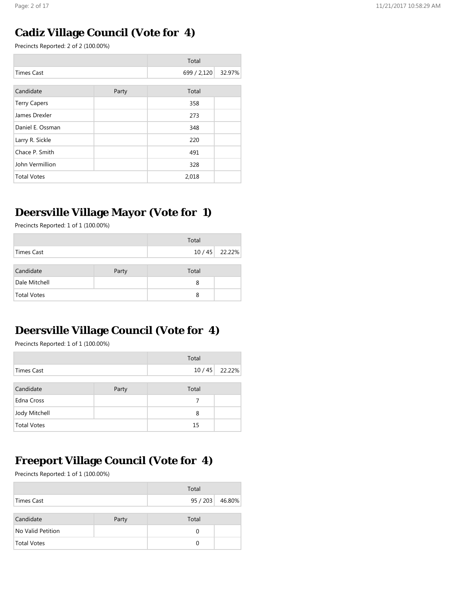## **Cadiz Village Council (Vote for 4)**

Precincts Reported: 2 of 2 (100.00%)

|                     |       | Total       |        |
|---------------------|-------|-------------|--------|
| <b>Times Cast</b>   |       | 699 / 2,120 | 32.97% |
|                     |       |             |        |
| Candidate           | Party | Total       |        |
| <b>Terry Capers</b> |       | 358         |        |
| James Drexler       |       | 273         |        |
| Daniel E. Ossman    |       | 348         |        |
| Larry R. Sickle     |       | 220         |        |
| Chace P. Smith      |       | 491         |        |
| John Vermillion     |       | 328         |        |
| <b>Total Votes</b>  |       | 2,018       |        |

## **Deersville Village Mayor (Vote for 1)**

Precincts Reported: 1 of 1 (100.00%)

|                    |       | Total |                |
|--------------------|-------|-------|----------------|
| Times Cast         |       |       | 10 / 45 22.22% |
| Candidate          | Party | Total |                |
| Dale Mitchell      |       | 8     |                |
| <b>Total Votes</b> |       | 8     |                |

## **Deersville Village Council (Vote for 4)**

Precincts Reported: 1 of 1 (100.00%)

|                    |       | Total |        |
|--------------------|-------|-------|--------|
| <b>Times Cast</b>  |       | 10/45 | 22.22% |
|                    |       |       |        |
| Candidate          | Party | Total |        |
| Edna Cross         |       | 7     |        |
| Jody Mitchell      |       | 8     |        |
| <b>Total Votes</b> |       | 15    |        |

## **Freeport Village Council (Vote for 4)**

|                    |       | Total    |        |
|--------------------|-------|----------|--------|
| Times Cast         |       | 95/203   | 46.80% |
| Candidate          | Party | Total    |        |
| No Valid Petition  |       | $\Omega$ |        |
| <b>Total Votes</b> |       | 0        |        |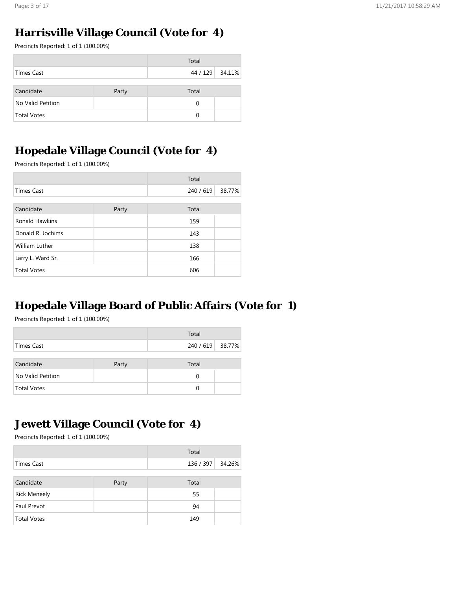# **Harrisville Village Council (Vote for 4)**

Precincts Reported: 1 of 1 (100.00%)

|                    |       | Total           |  |
|--------------------|-------|-----------------|--|
| Times Cast         |       | 44 / 129 34.11% |  |
|                    |       |                 |  |
| Candidate          | Party | Total           |  |
| No Valid Petition  |       | 0               |  |
| <b>Total Votes</b> |       | 0               |  |

## **Hopedale Village Council (Vote for 4)**

Precincts Reported: 1 of 1 (100.00%)

|                       |       | Total |        |
|-----------------------|-------|-------|--------|
| <b>Times Cast</b>     |       |       | 38.77% |
|                       |       |       |        |
| Candidate             | Party | Total |        |
| <b>Ronald Hawkins</b> |       | 159   |        |
| Donald R. Jochims     |       | 143   |        |
| <b>William Luther</b> |       | 138   |        |
| Larry L. Ward Sr.     |       | 166   |        |
| <b>Total Votes</b>    |       | 606   |        |

## **Hopedale Village Board of Public Affairs (Vote for 1)**

Precincts Reported: 1 of 1 (100.00%)

|                    |       | Total            |  |
|--------------------|-------|------------------|--|
| Times Cast         |       | 240 / 619 38.77% |  |
|                    |       |                  |  |
| Candidate          | Party | Total            |  |
| No Valid Petition  |       | $\Omega$         |  |
| <b>Total Votes</b> |       | 0                |  |

## **Jewett Village Council (Vote for 4)**

|                     |       | Total     |        |
|---------------------|-------|-----------|--------|
| Times Cast          |       | 136 / 397 | 34.26% |
|                     |       |           |        |
| Candidate           | Party | Total     |        |
| <b>Rick Meneely</b> |       | 55        |        |
| Paul Prevot         |       | 94        |        |
| <b>Total Votes</b>  |       | 149       |        |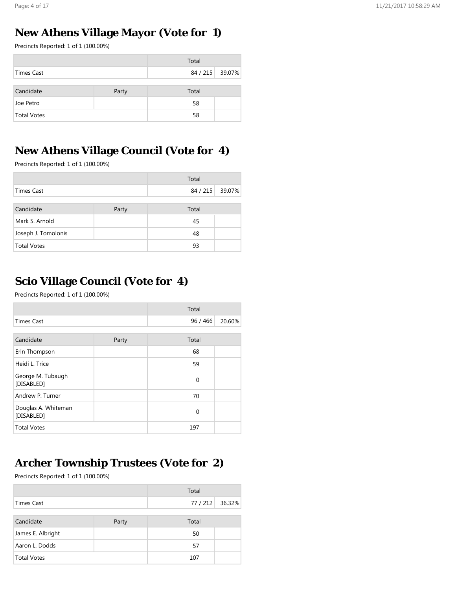## **New Athens Village Mayor (Vote for 1)**

Precincts Reported: 1 of 1 (100.00%)

|                    |       | Total           |  |
|--------------------|-------|-----------------|--|
| <b>Times Cast</b>  |       | 84 / 215 39.07% |  |
|                    |       |                 |  |
| Candidate          | Party | Total           |  |
| Joe Petro          |       | 58              |  |
| <b>Total Votes</b> |       | 58              |  |

## **New Athens Village Council (Vote for 4)**

Precincts Reported: 1 of 1 (100.00%)

|                     |       | Total           |  |
|---------------------|-------|-----------------|--|
| <b>Times Cast</b>   |       | 84 / 215 39.07% |  |
|                     |       |                 |  |
| Candidate           | Party | Total           |  |
| Mark S. Arnold      |       | 45              |  |
| Joseph J. Tomolonis |       | 48              |  |
| <b>Total Votes</b>  |       | 93              |  |

## **Scio Village Council (Vote for 4)**

Precincts Reported: 1 of 1 (100.00%)

|                                   |       | Total       |        |
|-----------------------------------|-------|-------------|--------|
| <b>Times Cast</b>                 |       | 96/466      | 20.60% |
|                                   |       |             |        |
| Candidate                         | Party | Total       |        |
| Erin Thompson                     |       | 68          |        |
| Heidi L. Trice                    |       | 59          |        |
| George M. Tubaugh<br>[DISABLED]   |       | $\mathbf 0$ |        |
| Andrew P. Turner                  |       | 70          |        |
| Douglas A. Whiteman<br>[DISABLED] |       | 0           |        |
| <b>Total Votes</b>                |       | 197         |        |

## **Archer Township Trustees (Vote for 2)**

|                   |       | Total           |  |
|-------------------|-------|-----------------|--|
| Times Cast        |       | 77 / 212 36.32% |  |
|                   |       |                 |  |
| Candidate         | Party | Total           |  |
| James E. Albright |       | 50              |  |
| Aaron L. Dodds    |       | 57              |  |
| Total Votes       |       | 107             |  |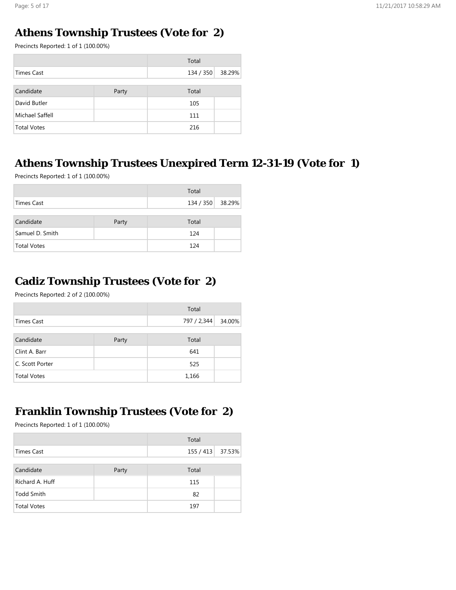# **Athens Township Trustees (Vote for 2)**

Precincts Reported: 1 of 1 (100.00%)

|                    |       | Total     |        |
|--------------------|-------|-----------|--------|
| Times Cast         |       | 134 / 350 | 38.29% |
|                    |       |           |        |
| Candidate          | Party | Total     |        |
| David Butler       |       | 105       |        |
| Michael Saffell    |       | 111       |        |
| <b>Total Votes</b> |       | 216       |        |

## **Athens Township Trustees Unexpired Term 12-31-19 (Vote for 1)**

Precincts Reported: 1 of 1 (100.00%)

|                    |       | Total            |  |
|--------------------|-------|------------------|--|
| Times Cast         |       | 134 / 350 38.29% |  |
| Candidate          | Party | Total            |  |
| Samuel D. Smith    |       | 124              |  |
| <b>Total Votes</b> |       | 124              |  |

## **Cadiz Township Trustees (Vote for 2)**

Precincts Reported: 2 of 2 (100.00%)

|                    |       | Total              |  |
|--------------------|-------|--------------------|--|
| Times Cast         |       | 797 / 2,344 34.00% |  |
|                    |       |                    |  |
| Candidate          | Party | Total              |  |
| Clint A. Barr      |       | 641                |  |
| C. Scott Porter    |       | 525                |  |
| <b>Total Votes</b> |       | 1,166              |  |

## **Franklin Township Trustees (Vote for 2)**

|            |  | Total            |  |
|------------|--|------------------|--|
| Times Cast |  | 155 / 413 37.53% |  |
|            |  |                  |  |

| Candidate       | Party | Total |  |
|-----------------|-------|-------|--|
| Richard A. Huff |       | 115   |  |
| Todd Smith      |       | -82   |  |
| Total Votes     |       | 197   |  |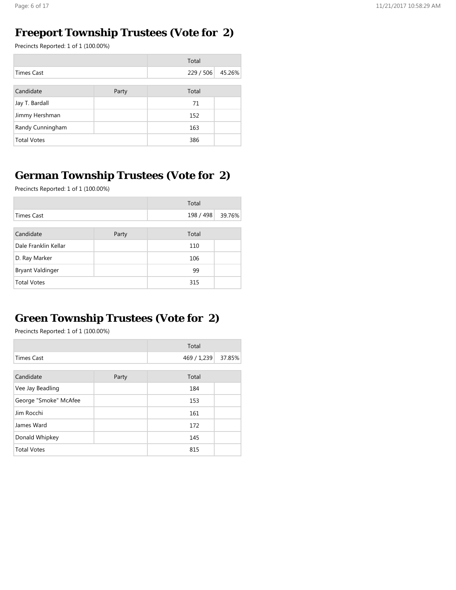## **Freeport Township Trustees (Vote for 2)**

Precincts Reported: 1 of 1 (100.00%)

|                    |       | Total     |        |
|--------------------|-------|-----------|--------|
| <b>Times Cast</b>  |       | 229 / 506 | 45.26% |
|                    |       |           |        |
| Candidate          | Party | Total     |        |
| Jay T. Bardall     |       | 71        |        |
| Jimmy Hershman     |       | 152       |        |
| Randy Cunningham   |       | 163       |        |
| <b>Total Votes</b> |       | 386       |        |

## **German Township Trustees (Vote for 2)**

Precincts Reported: 1 of 1 (100.00%)

|                         |       | Total     |        |
|-------------------------|-------|-----------|--------|
| <b>Times Cast</b>       |       | 198 / 498 | 39.76% |
|                         |       |           |        |
| Candidate               | Party | Total     |        |
| Dale Franklin Kellar    |       | 110       |        |
| D. Ray Marker           |       | 106       |        |
| <b>Bryant Valdinger</b> |       | 99        |        |
| <b>Total Votes</b>      |       | 315       |        |

# **Green Township Trustees (Vote for 2)**

|                       |       | Total       |        |
|-----------------------|-------|-------------|--------|
| <b>Times Cast</b>     |       | 469 / 1,239 | 37.85% |
|                       |       |             |        |
| Candidate             | Party | Total       |        |
| Vee Jay Beadling      |       | 184         |        |
| George "Smoke" McAfee |       | 153         |        |
| Jim Rocchi            |       | 161         |        |
| James Ward            |       | 172         |        |
| Donald Whipkey        |       | 145         |        |
| <b>Total Votes</b>    |       | 815         |        |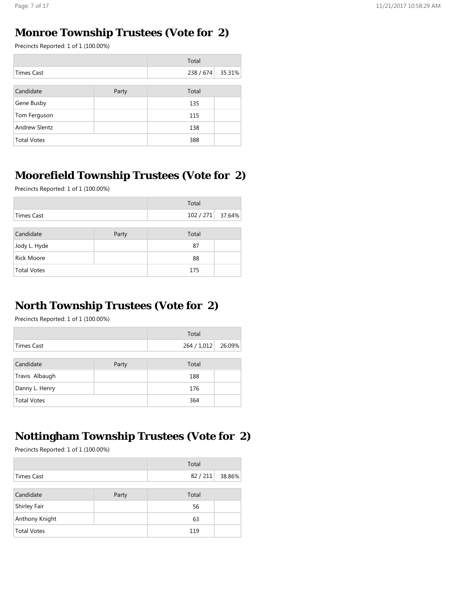# **Monroe Township Trustees (Vote for 2)**

Precincts Reported: 1 of 1 (100.00%)

|                      |       | Total     |        |
|----------------------|-------|-----------|--------|
| <b>Times Cast</b>    |       | 238 / 674 | 35.31% |
|                      |       |           |        |
| Candidate            | Party | Total     |        |
| Gene Busby           |       | 135       |        |
| Tom Ferguson         |       | 115       |        |
| <b>Andrew Slentz</b> |       | 138       |        |
| <b>Total Votes</b>   |       | 388       |        |

# **Moorefield Township Trustees (Vote for 2)**

Precincts Reported: 1 of 1 (100.00%)

|                    |       | Total            |  |
|--------------------|-------|------------------|--|
| Times Cast         |       | 102 / 271 37.64% |  |
|                    |       |                  |  |
| Candidate          | Party | Total            |  |
| Jody L. Hyde       |       | 87               |  |
| <b>Rick Moore</b>  |       | 88               |  |
| <b>Total Votes</b> |       | 175              |  |

## **North Township Trustees (Vote for 2)**

Precincts Reported: 1 of 1 (100.00%)

|                    |       | Total     |        |
|--------------------|-------|-----------|--------|
| <b>Times Cast</b>  |       | 264/1,012 | 26.09% |
|                    |       |           |        |
| Candidate          | Party | Total     |        |
| Travis Albaugh     |       | 188       |        |
| Danny L. Henry     |       | 176       |        |
| <b>Total Votes</b> |       | 364       |        |

## **Nottingham Township Trustees (Vote for 2)**

|                     |       | Total  |        |
|---------------------|-------|--------|--------|
| <b>Times Cast</b>   |       | 82/211 | 38.86% |
|                     |       |        |        |
| Candidate           | Party | Total  |        |
| <b>Shirley Fair</b> |       | 56     |        |
| Anthony Knight      |       | 63     |        |
| <b>Total Votes</b>  |       | 119    |        |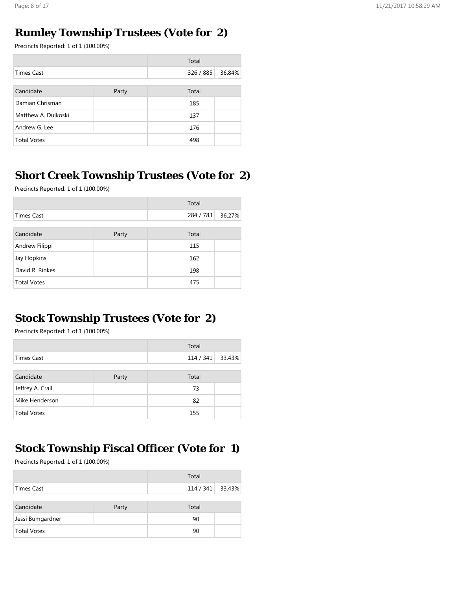## **Rumley Township Trustees (Vote for 2)**

Precincts Reported: 1 of 1 (100.00%)

|                     |       | Total     |        |
|---------------------|-------|-----------|--------|
| <b>Times Cast</b>   |       | 326 / 885 | 36.84% |
|                     |       |           |        |
| Candidate           | Party | Total     |        |
| Damian Chrisman     |       | 185       |        |
| Matthew A. Dulkoski |       | 137       |        |
| Andrew G. Lee       |       | 176       |        |
| <b>Total Votes</b>  |       | 498       |        |

## **Short Creek Township Trustees (Vote for 2)**

Precincts Reported: 1 of 1 (100.00%)

|                    |       | Total     |        |
|--------------------|-------|-----------|--------|
| <b>Times Cast</b>  |       | 284 / 783 | 36.27% |
|                    |       |           |        |
| Candidate          | Party | Total     |        |
| Andrew Filippi     |       | 115       |        |
| Jay Hopkins        |       | 162       |        |
| David R. Rinkes    |       | 198       |        |
| <b>Total Votes</b> |       | 475       |        |

#### **Stock Township Trustees (Vote for 2)**

Precincts Reported: 1 of 1 (100.00%)

|                    |       | Total            |  |
|--------------------|-------|------------------|--|
| <b>Times Cast</b>  |       | 114 / 341 33.43% |  |
|                    |       |                  |  |
| Candidate          | Party | Total            |  |
| Jeffrey A. Crall   |       | 73               |  |
| Mike Henderson     |       | 82               |  |
| <b>Total Votes</b> |       | 155              |  |

## **Stock Township Fiscal Officer (Vote for 1)**

|                    |       | Total            |  |
|--------------------|-------|------------------|--|
| Times Cast         |       | 114 / 341 33.43% |  |
| Candidate          | Party | Total            |  |
| Jessi Bumgardner   |       | 90               |  |
| <b>Total Votes</b> |       | 90               |  |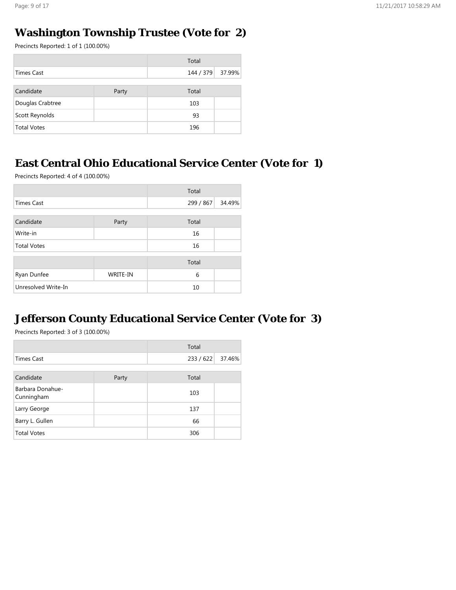## **Washington Township Trustee (Vote for 2)**

Precincts Reported: 1 of 1 (100.00%)

|                    |       | Total            |  |
|--------------------|-------|------------------|--|
| <b>Times Cast</b>  |       | 144 / 379 37.99% |  |
|                    |       |                  |  |
| Candidate          | Party | Total            |  |
| Douglas Crabtree   |       | 103              |  |
| Scott Reynolds     |       | 93               |  |
| <b>Total Votes</b> |       | 196              |  |

## **East Central Ohio Educational Service Center (Vote for 1)**

Precincts Reported: 4 of 4 (100.00%)

|                     |                 | Total     |        |
|---------------------|-----------------|-----------|--------|
| <b>Times Cast</b>   |                 | 299 / 867 | 34.49% |
|                     |                 |           |        |
| Candidate           | Party           | Total     |        |
| Write-in            |                 | 16        |        |
| <b>Total Votes</b>  |                 | 16        |        |
|                     |                 | Total     |        |
| Ryan Dunfee         | <b>WRITE-IN</b> | 6         |        |
| Unresolved Write-In |                 | 10        |        |

# **Jefferson County Educational Service Center (Vote for 3)**

|                                |       | Total   |        |
|--------------------------------|-------|---------|--------|
| Times Cast                     |       | 233/622 | 37.46% |
|                                |       |         |        |
| Candidate                      | Party | Total   |        |
| Barbara Donahue-<br>Cunningham |       | 103     |        |
| Larry George                   |       | 137     |        |
| Barry L. Gullen                |       | 66      |        |
| <b>Total Votes</b>             |       | 306     |        |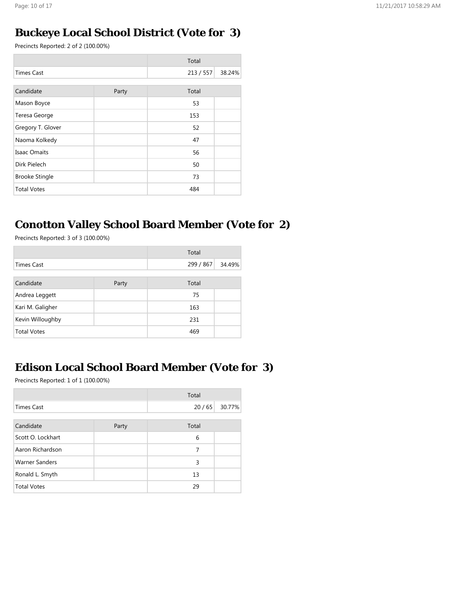## **Buckeye Local School District (Vote for 3)**

Precincts Reported: 2 of 2 (100.00%)

|       | Total |           |
|-------|-------|-----------|
|       |       | 38.24%    |
|       |       |           |
| Party | Total |           |
|       | 53    |           |
|       | 153   |           |
|       | 52    |           |
|       | 47    |           |
|       | 56    |           |
|       | 50    |           |
|       | 73    |           |
|       | 484   |           |
|       |       | 213 / 557 |

## **Conotton Valley School Board Member (Vote for 2)**

Precincts Reported: 3 of 3 (100.00%)

|                    |       | Total     |        |
|--------------------|-------|-----------|--------|
| Times Cast         |       | 299 / 867 | 34.49% |
|                    |       |           |        |
| Candidate          | Party | Total     |        |
| Andrea Leggett     |       | 75        |        |
| Kari M. Galigher   |       | 163       |        |
| Kevin Willoughby   |       | 231       |        |
| <b>Total Votes</b> |       | 469       |        |

# **Edison Local School Board Member (Vote for 3)**

|                       |       | Total |        |
|-----------------------|-------|-------|--------|
| <b>Times Cast</b>     |       | 20/65 | 30.77% |
|                       |       |       |        |
| Candidate             | Party | Total |        |
| Scott O. Lockhart     |       | 6     |        |
| Aaron Richardson      |       | 7     |        |
| <b>Warner Sanders</b> |       | 3     |        |
| Ronald L. Smyth       |       | 13    |        |
| <b>Total Votes</b>    |       | 29    |        |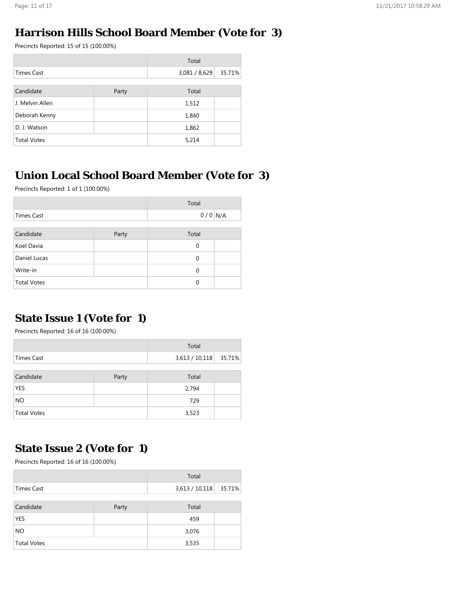#### **Harrison Hills School Board Member (Vote for 3)**

Precincts Reported: 15 of 15 (100.00%)

|                    |       | Total         |        |
|--------------------|-------|---------------|--------|
| <b>Times Cast</b>  |       | 3,081 / 8,629 | 35.71% |
|                    |       |               |        |
| Candidate          | Party | Total         |        |
| J. Melvin Allen    |       | 1,512         |        |
| Deborah Kenny      |       | 1,840         |        |
| D. J. Watson       |       | 1,862         |        |
| <b>Total Votes</b> |       | 5,214         |        |

## **Union Local School Board Member (Vote for 3)**

Precincts Reported: 1 of 1 (100.00%)

|                    |       | Total        |  |
|--------------------|-------|--------------|--|
| <b>Times Cast</b>  |       | $0/0$ N/A    |  |
|                    |       |              |  |
| Candidate          | Party | Total        |  |
| Koel Davia         |       | $\mathbf{0}$ |  |
| Daniel Lucas       |       | $\mathbf 0$  |  |
| Write-in           |       | $\Omega$     |  |
| <b>Total Votes</b> |       | 0            |  |

## **State Issue 1 (Vote for 1)**

Precincts Reported: 16 of 16 (100.00%)

|                    |       | Total          |        |
|--------------------|-------|----------------|--------|
| Times Cast         |       | 3,613 / 10,118 | 35.71% |
|                    |       |                |        |
| Candidate          | Party | Total          |        |
| <b>YES</b>         |       | 2,794          |        |
| <b>NO</b>          |       | 729            |        |
| <b>Total Votes</b> |       | 3,523          |        |

## **State Issue 2 (Vote for 1)**

|                    |       | Total          |        |
|--------------------|-------|----------------|--------|
| Times Cast         |       | 3,613 / 10,118 | 35.71% |
| Candidate          | Party | Total          |        |
| YES                |       | 459            |        |
| <b>NO</b>          |       | 3,076          |        |
| <b>Total Votes</b> |       | 3,535          |        |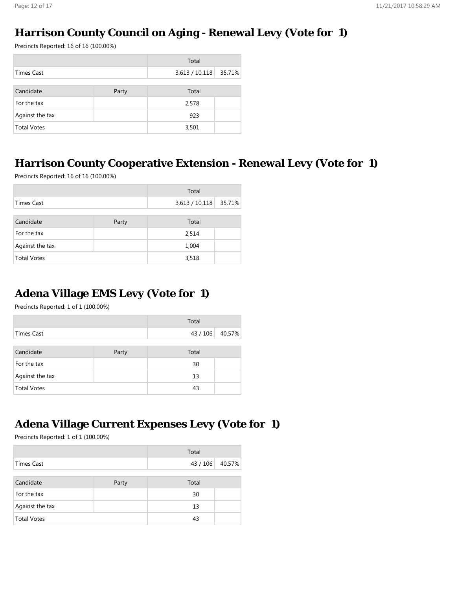# **Harrison County Council on Aging - Renewal Levy (Vote for 1)**

Precincts Reported: 16 of 16 (100.00%)

|                    |       | Total          |        |
|--------------------|-------|----------------|--------|
| <b>Times Cast</b>  |       | 3,613 / 10,118 | 35.71% |
|                    |       |                |        |
| Candidate          | Party | Total          |        |
| For the tax        |       | 2,578          |        |
| Against the tax    |       | 923            |        |
| <b>Total Votes</b> |       | 3,501          |        |

# **Harrison County Cooperative Extension - Renewal Levy (Vote for 1)**

Precincts Reported: 16 of 16 (100.00%)

|                    |       | Total          |        |
|--------------------|-------|----------------|--------|
| <b>Times Cast</b>  |       | 3,613 / 10,118 | 35.71% |
|                    |       |                |        |
| Candidate          | Party | Total          |        |
| For the tax        |       | 2,514          |        |
| Against the tax    |       | 1,004          |        |
| <b>Total Votes</b> |       | 3,518          |        |

# **Adena Village EMS Levy (Vote for 1)**

Precincts Reported: 1 of 1 (100.00%)

|                    |       | Total  |        |
|--------------------|-------|--------|--------|
| Times Cast         |       | 43/106 | 40.57% |
|                    |       |        |        |
| Candidate          | Party | Total  |        |
| For the tax        |       | 30     |        |
| Against the tax    |       | 13     |        |
| <b>Total Votes</b> |       | 43     |        |

# **Adena Village Current Expenses Levy (Vote for 1)**

|                    |       | Total           |  |
|--------------------|-------|-----------------|--|
| Times Cast         |       | 43 / 106 40.57% |  |
|                    |       |                 |  |
| Candidate          | Party | Total           |  |
| For the tax        |       | 30              |  |
| Against the tax    |       | 13              |  |
| <b>Total Votes</b> |       | 43              |  |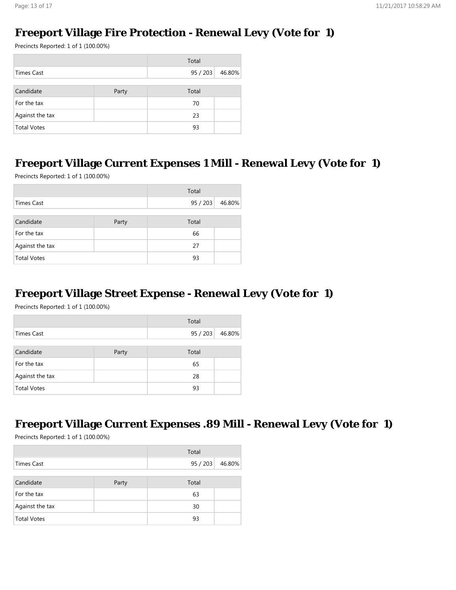# **Freeport Village Fire Protection - Renewal Levy (Vote for 1)**

Precincts Reported: 1 of 1 (100.00%)

|                    |       | Total  |        |
|--------------------|-------|--------|--------|
| Times Cast         |       | 95/203 | 46.80% |
|                    |       |        |        |
| Candidate          | Party | Total  |        |
| For the tax        |       | 70     |        |
| Against the tax    |       | 23     |        |
| <b>Total Votes</b> |       | 93     |        |

# **Freeport Village Current Expenses 1 Mill - Renewal Levy (Vote for 1)**

Precincts Reported: 1 of 1 (100.00%)

|                    |       | Total  |        |
|--------------------|-------|--------|--------|
| <b>Times Cast</b>  |       | 95/203 | 46.80% |
|                    |       |        |        |
| Candidate          | Party | Total  |        |
| For the tax        |       | 66     |        |
| Against the tax    |       | 27     |        |
| <b>Total Votes</b> |       | 93     |        |

## **Freeport Village Street Expense - Renewal Levy (Vote for 1)**

Precincts Reported: 1 of 1 (100.00%)

|                    |       | Total  |        |
|--------------------|-------|--------|--------|
| <b>Times Cast</b>  |       | 95/203 | 46.80% |
|                    |       |        |        |
| Candidate          | Party | Total  |        |
| For the tax        |       | 65     |        |
| Against the tax    |       | 28     |        |
| <b>Total Votes</b> |       | 93     |        |

## **Freeport Village Current Expenses .89 Mill - Renewal Levy (Vote for 1)**

|                    |       | Total  |        |
|--------------------|-------|--------|--------|
| Times Cast         |       | 95/203 | 46.80% |
|                    |       |        |        |
| Candidate          | Party | Total  |        |
| For the tax        |       | 63     |        |
| Against the tax    |       | 30     |        |
| <b>Total Votes</b> |       | 93     |        |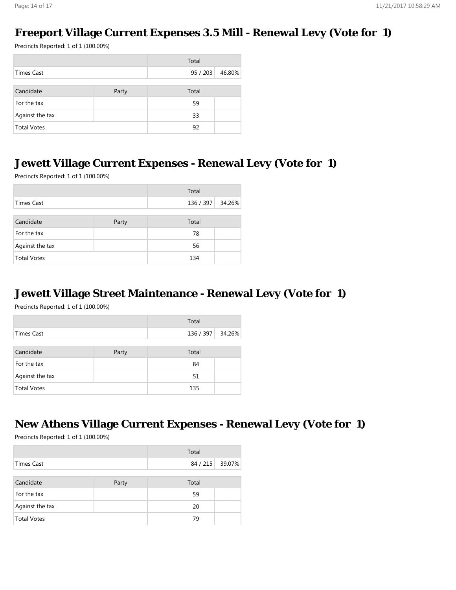#### **Freeport Village Current Expenses 3.5 Mill - Renewal Levy (Vote for 1)**

Precincts Reported: 1 of 1 (100.00%)

|                    |       | Total  |        |
|--------------------|-------|--------|--------|
| Times Cast         |       | 95/203 | 46.80% |
|                    |       |        |        |
| Candidate          | Party | Total  |        |
| For the tax        |       | 59     |        |
| Against the tax    |       | 33     |        |
| <b>Total Votes</b> |       | 92     |        |

#### **Jewett Village Current Expenses - Renewal Levy (Vote for 1)**

Precincts Reported: 1 of 1 (100.00%)

| Total              |       |                  |  |
|--------------------|-------|------------------|--|
| <b>Times Cast</b>  |       | 136 / 397 34.26% |  |
|                    |       |                  |  |
| Candidate          | Party | Total            |  |
| For the tax        |       | 78               |  |
| Against the tax    |       | 56               |  |
| <b>Total Votes</b> |       | 134              |  |

#### **Jewett Village Street Maintenance - Renewal Levy (Vote for 1)**

Precincts Reported: 1 of 1 (100.00%)

|                    |       | Total            |  |
|--------------------|-------|------------------|--|
| <b>Times Cast</b>  |       | 136 / 397 34.26% |  |
|                    |       |                  |  |
| Candidate          | Party | Total            |  |
| For the tax        |       | 84               |  |
| Against the tax    |       | 51               |  |
| <b>Total Votes</b> |       | 135              |  |

## **New Athens Village Current Expenses - Renewal Levy (Vote for 1)**

|                    |       | Total |                 |
|--------------------|-------|-------|-----------------|
| <b>Times Cast</b>  |       |       | 84 / 215 39.07% |
|                    |       |       |                 |
| Candidate          | Party | Total |                 |
| For the tax        |       | 59    |                 |
| Against the tax    |       | 20    |                 |
| <b>Total Votes</b> |       | 79    |                 |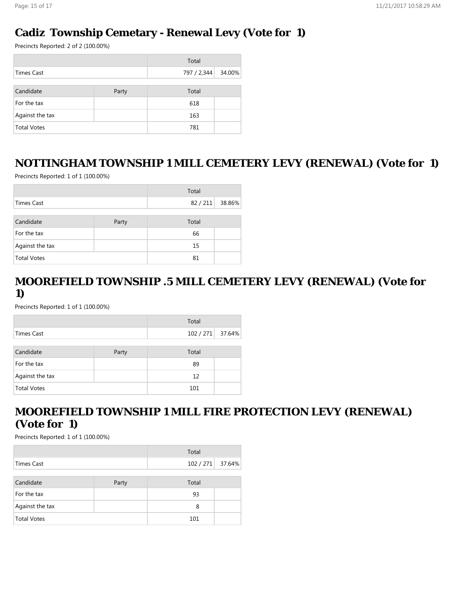#### **Cadiz Township Cemetary - Renewal Levy (Vote for 1)**

Precincts Reported: 2 of 2 (100.00%)

|                    |       | Total       |        |
|--------------------|-------|-------------|--------|
| <b>Times Cast</b>  |       | 797 / 2,344 | 34.00% |
|                    |       |             |        |
| Candidate          | Party | Total       |        |
| For the tax        |       | 618         |        |
| Against the tax    |       | 163         |        |
| <b>Total Votes</b> |       | 781         |        |

#### **NOTTINGHAM TOWNSHIP 1 MILL CEMETERY LEVY (RENEWAL) (Vote for 1)**

Precincts Reported: 1 of 1 (100.00%)

|                    |       | Total  |        |
|--------------------|-------|--------|--------|
| <b>Times Cast</b>  |       | 82/211 | 38.86% |
|                    |       |        |        |
| Candidate          | Party | Total  |        |
| For the tax        |       | 66     |        |
| Against the tax    |       | 15     |        |
| <b>Total Votes</b> |       | 81     |        |

### **MOOREFIELD TOWNSHIP .5 MILL CEMETERY LEVY (RENEWAL) (Vote for 1)**

Precincts Reported: 1 of 1 (100.00%)

|                    |       | Total     |        |
|--------------------|-------|-----------|--------|
| <b>Times Cast</b>  |       | 102 / 271 | 37.64% |
|                    |       |           |        |
| Candidate          | Party | Total     |        |
| For the tax        |       | 89        |        |
| Against the tax    |       | 12        |        |
| <b>Total Votes</b> |       | 101       |        |

## **MOOREFIELD TOWNSHIP 1 MILL FIRE PROTECTION LEVY (RENEWAL) (Vote for 1)**

|                    |       | Total            |  |
|--------------------|-------|------------------|--|
| Times Cast         |       | 102 / 271 37.64% |  |
|                    |       |                  |  |
| Candidate          | Party | Total            |  |
| For the tax        |       | 93               |  |
| Against the tax    |       | 8                |  |
| <b>Total Votes</b> |       | 101              |  |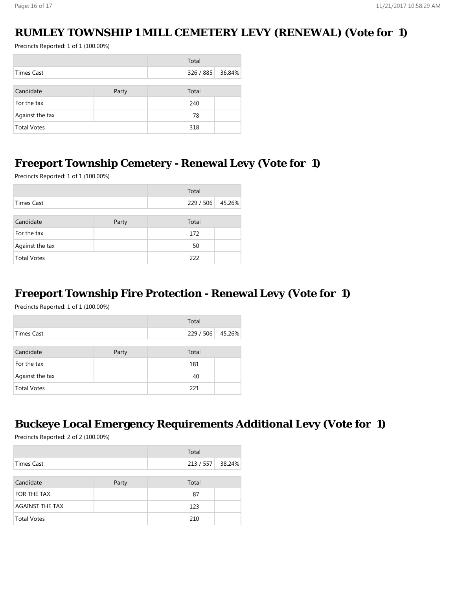#### **RUMLEY TOWNSHIP 1 MILL CEMETERY LEVY (RENEWAL) (Vote for 1)**

Precincts Reported: 1 of 1 (100.00%)

|                    |       | Total     |        |
|--------------------|-------|-----------|--------|
| Times Cast         |       | 326 / 885 | 36.84% |
|                    |       |           |        |
| Candidate          | Party | Total     |        |
| For the tax        |       | 240       |        |
| Against the tax    |       | 78        |        |
| <b>Total Votes</b> |       | 318       |        |

#### **Freeport Township Cemetery - Renewal Levy (Vote for 1)**

Precincts Reported: 1 of 1 (100.00%)

|                    | Total |                  |  |
|--------------------|-------|------------------|--|
| Times Cast         |       | 229 / 506 45.26% |  |
|                    |       |                  |  |
| Candidate          | Party | Total            |  |
| For the tax        |       | 172              |  |
| Against the tax    |       | 50               |  |
| <b>Total Votes</b> |       | 222              |  |

#### **Freeport Township Fire Protection - Renewal Levy (Vote for 1)**

Precincts Reported: 1 of 1 (100.00%)

|                    |       | Total   |        |
|--------------------|-------|---------|--------|
| <b>Times Cast</b>  |       | 229/506 | 45.26% |
|                    |       |         |        |
| Candidate          | Party | Total   |        |
| For the tax        |       | 181     |        |
| Against the tax    |       | 40      |        |
| <b>Total Votes</b> |       | 221     |        |

## **Buckeye Local Emergency Requirements Additional Levy (Vote for 1)**

|                        |       | Total            |  |  |
|------------------------|-------|------------------|--|--|
| <b>Times Cast</b>      |       | 213 / 557 38.24% |  |  |
|                        |       |                  |  |  |
| Candidate              | Party | Total            |  |  |
| FOR THE TAX            |       | 87               |  |  |
| <b>AGAINST THE TAX</b> |       | 123              |  |  |
| <b>Total Votes</b>     |       | 210              |  |  |